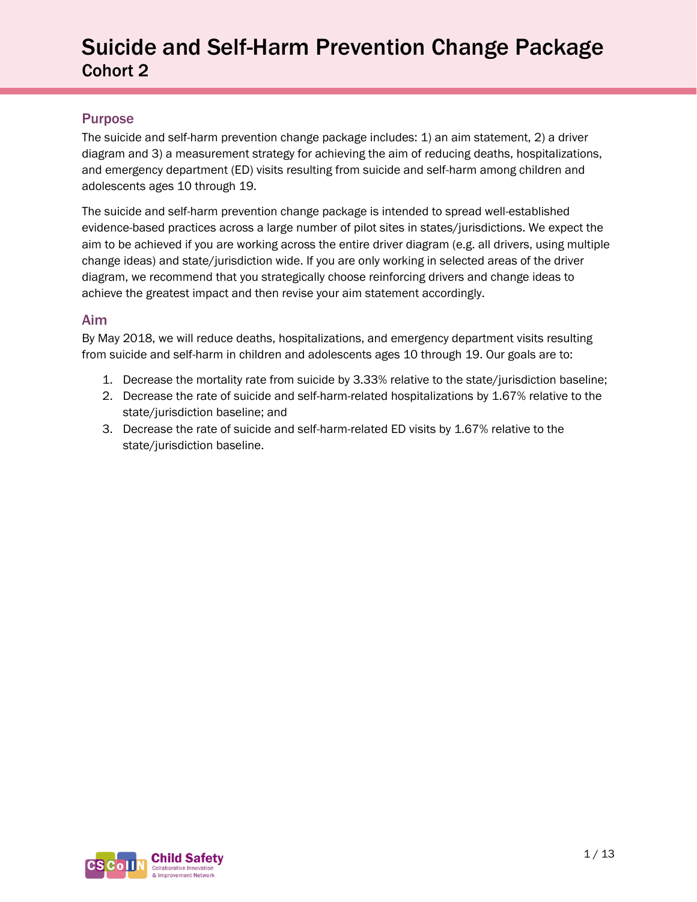#### Purpose

The suicide and self-harm prevention change package includes: 1) an aim statement, 2) a driver diagram and 3) a measurement strategy for achieving the aim of reducing deaths, hospitalizations, and emergency department (ED) visits resulting from suicide and self-harm among children and adolescents ages 10 through 19.

The suicide and self-harm prevention change package is intended to spread well-established evidence-based practices across a large number of pilot sites in states/jurisdictions. We expect the aim to be achieved if you are working across the entire driver diagram (e.g. all drivers, using multiple change ideas) and state/jurisdiction wide. If you are only working in selected areas of the driver diagram, we recommend that you strategically choose reinforcing drivers and change ideas to achieve the greatest impact and then revise your aim statement accordingly.

#### Aim

By May 2018, we will reduce deaths, hospitalizations, and emergency department visits resulting from suicide and self-harm in children and adolescents ages 10 through 19. Our goals are to:

- 1. Decrease the mortality rate from suicide by 3.33% relative to the state/jurisdiction baseline;
- 2. Decrease the rate of suicide and self-harm-related hospitalizations by 1.67% relative to the state/jurisdiction baseline; and
- 3. Decrease the rate of suicide and self-harm-related ED visits by 1.67% relative to the state/jurisdiction baseline.

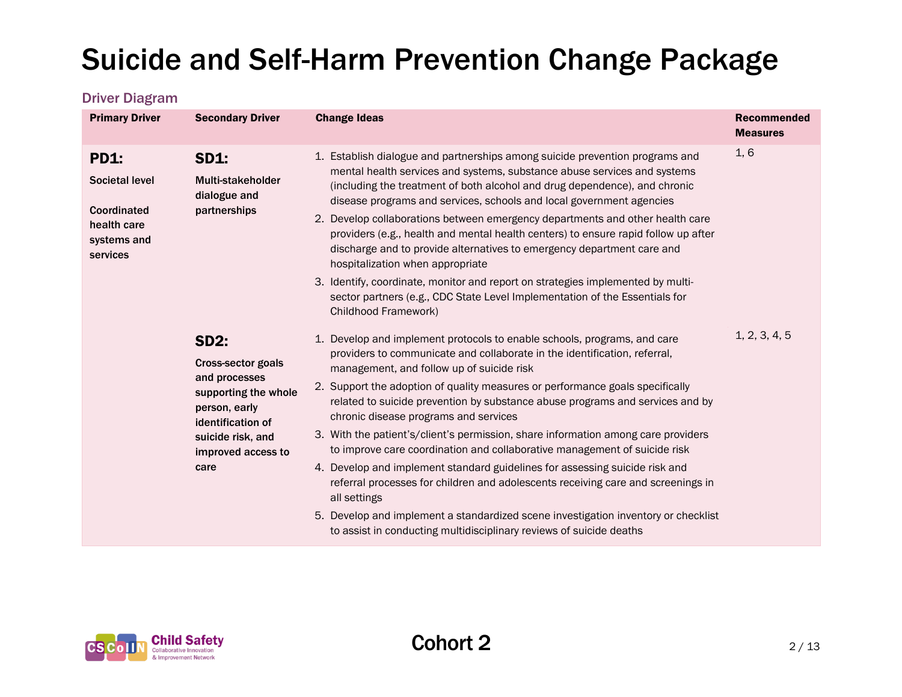#### Driver Diagram

| <b>Primary Driver</b>                                                                  | <b>Secondary Driver</b>                                                                                                                                             | <b>Change Ideas</b>                                                                                                                                                                                                                                                                                                                                                                                                                                                                                                                                                                                                                                                                                                                                                                                                                                                                                                             | <b>Recommended</b><br><b>Measures</b> |
|----------------------------------------------------------------------------------------|---------------------------------------------------------------------------------------------------------------------------------------------------------------------|---------------------------------------------------------------------------------------------------------------------------------------------------------------------------------------------------------------------------------------------------------------------------------------------------------------------------------------------------------------------------------------------------------------------------------------------------------------------------------------------------------------------------------------------------------------------------------------------------------------------------------------------------------------------------------------------------------------------------------------------------------------------------------------------------------------------------------------------------------------------------------------------------------------------------------|---------------------------------------|
| <b>PD1:</b><br>Societal level<br>Coordinated<br>health care<br>systems and<br>services | <b>SD1:</b><br>Multi-stakeholder<br>dialogue and<br>partnerships                                                                                                    | 1. Establish dialogue and partnerships among suicide prevention programs and<br>mental health services and systems, substance abuse services and systems<br>(including the treatment of both alcohol and drug dependence), and chronic<br>disease programs and services, schools and local government agencies<br>2. Develop collaborations between emergency departments and other health care<br>providers (e.g., health and mental health centers) to ensure rapid follow up after<br>discharge and to provide alternatives to emergency department care and<br>hospitalization when appropriate<br>3. Identify, coordinate, monitor and report on strategies implemented by multi-<br>sector partners (e.g., CDC State Level Implementation of the Essentials for<br>Childhood Framework)                                                                                                                                   | 1, 6                                  |
|                                                                                        | <b>SD2:</b><br>Cross-sector goals<br>and processes<br>supporting the whole<br>person, early<br>identification of<br>suicide risk, and<br>improved access to<br>care | 1. Develop and implement protocols to enable schools, programs, and care<br>providers to communicate and collaborate in the identification, referral,<br>management, and follow up of suicide risk<br>2. Support the adoption of quality measures or performance goals specifically<br>related to suicide prevention by substance abuse programs and services and by<br>chronic disease programs and services<br>3. With the patient's/client's permission, share information among care providers<br>to improve care coordination and collaborative management of suicide risk<br>4. Develop and implement standard guidelines for assessing suicide risk and<br>referral processes for children and adolescents receiving care and screenings in<br>all settings<br>5. Develop and implement a standardized scene investigation inventory or checklist<br>to assist in conducting multidisciplinary reviews of suicide deaths | 1, 2, 3, 4, 5                         |

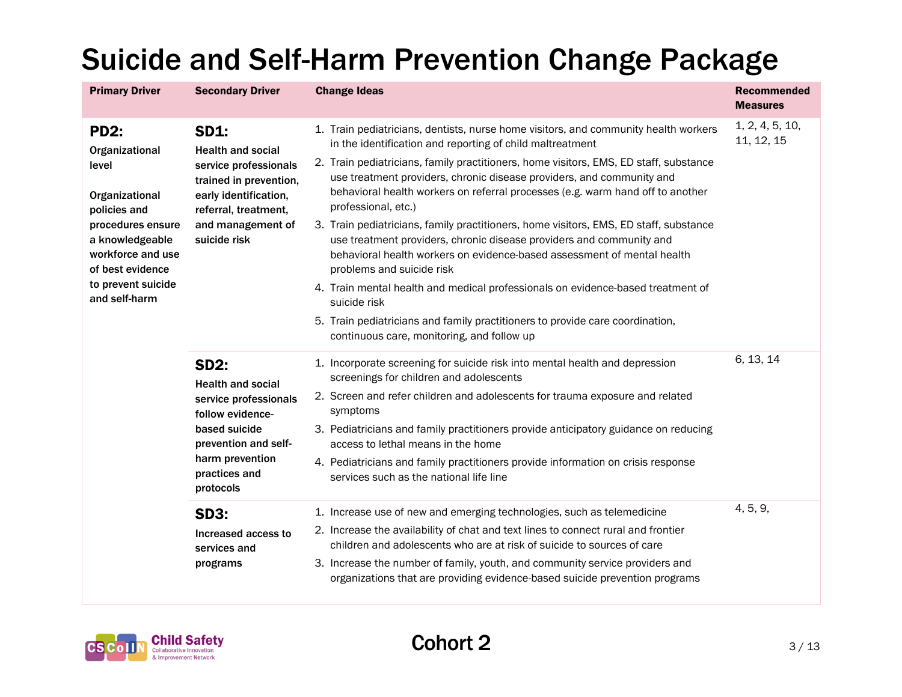| <b>Primary Driver</b><br><b>Secondary Driver</b>                              |                                                                                                                                                                                  | <b>Change Ideas</b>                                                                                                                                                                                                                                                     | <b>Recommended</b><br><b>Measures</b> |
|-------------------------------------------------------------------------------|----------------------------------------------------------------------------------------------------------------------------------------------------------------------------------|-------------------------------------------------------------------------------------------------------------------------------------------------------------------------------------------------------------------------------------------------------------------------|---------------------------------------|
| <b>PD2:</b><br>Organizational                                                 | <b>SD1:</b><br><b>Health and social</b><br>service professionals<br>trained in prevention,<br>early identification,<br>referral, treatment,<br>and management of<br>suicide risk | 1. Train pediatricians, dentists, nurse home visitors, and community health workers<br>in the identification and reporting of child maltreatment                                                                                                                        | 1, 2, 4, 5, 10,<br>11, 12, 15         |
| level<br>Organizational<br>policies and                                       |                                                                                                                                                                                  | 2. Train pediatricians, family practitioners, home visitors, EMS, ED staff, substance<br>use treatment providers, chronic disease providers, and community and<br>behavioral health workers on referral processes (e.g. warm hand off to another<br>professional, etc.) |                                       |
| procedures ensure<br>a knowledgeable<br>workforce and use<br>of best evidence |                                                                                                                                                                                  | 3. Train pediatricians, family practitioners, home visitors, EMS, ED staff, substance<br>use treatment providers, chronic disease providers and community and<br>behavioral health workers on evidence-based assessment of mental health<br>problems and suicide risk   |                                       |
| to prevent suicide<br>and self-harm                                           |                                                                                                                                                                                  | 4. Train mental health and medical professionals on evidence-based treatment of<br>suicide risk                                                                                                                                                                         |                                       |
|                                                                               |                                                                                                                                                                                  | 5. Train pediatricians and family practitioners to provide care coordination,<br>continuous care, monitoring, and follow up                                                                                                                                             |                                       |
|                                                                               | <b>SD2:</b><br><b>Health and social</b><br>service professionals<br>follow evidence-<br>based suicide<br>prevention and self-<br>harm prevention<br>practices and<br>protocols   | 1. Incorporate screening for suicide risk into mental health and depression<br>screenings for children and adolescents                                                                                                                                                  | 6, 13, 14                             |
|                                                                               |                                                                                                                                                                                  | 2. Screen and refer children and adolescents for trauma exposure and related<br>symptoms                                                                                                                                                                                |                                       |
|                                                                               |                                                                                                                                                                                  | 3. Pediatricians and family practitioners provide anticipatory guidance on reducing<br>access to lethal means in the home                                                                                                                                               |                                       |
|                                                                               |                                                                                                                                                                                  | 4. Pediatricians and family practitioners provide information on crisis response<br>services such as the national life line                                                                                                                                             |                                       |
|                                                                               | <b>SD3:</b>                                                                                                                                                                      | 1. Increase use of new and emerging technologies, such as telemedicine                                                                                                                                                                                                  | 4, 5, 9,                              |
|                                                                               | Increased access to<br>services and                                                                                                                                              | 2. Increase the availability of chat and text lines to connect rural and frontier<br>children and adolescents who are at risk of suicide to sources of care                                                                                                             |                                       |
|                                                                               | programs                                                                                                                                                                         | 3. Increase the number of family, youth, and community service providers and<br>organizations that are providing evidence-based suicide prevention programs                                                                                                             |                                       |

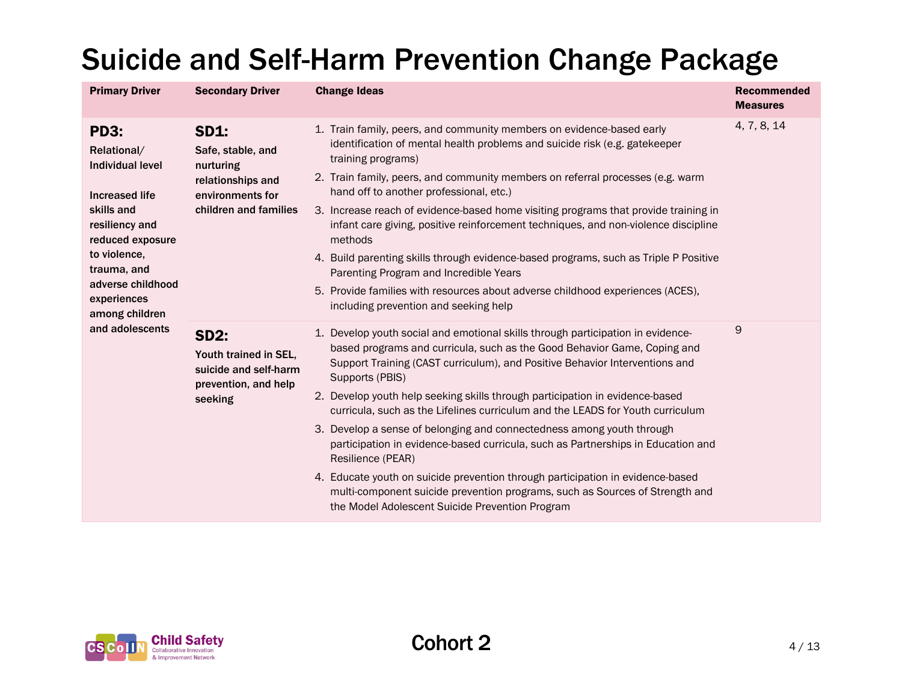| <b>Primary Driver</b>                                                                                                                                                                                                   | <b>Secondary Driver</b>                                                                                         | <b>Change Ideas</b>                                                                                                                                                                                                                                                                                                                                                                                                                                                                                                                                                                                                                                                                                                                                                                                                                    | <b>Recommended</b><br><b>Measures</b> |
|-------------------------------------------------------------------------------------------------------------------------------------------------------------------------------------------------------------------------|-----------------------------------------------------------------------------------------------------------------|----------------------------------------------------------------------------------------------------------------------------------------------------------------------------------------------------------------------------------------------------------------------------------------------------------------------------------------------------------------------------------------------------------------------------------------------------------------------------------------------------------------------------------------------------------------------------------------------------------------------------------------------------------------------------------------------------------------------------------------------------------------------------------------------------------------------------------------|---------------------------------------|
| <b>PD3:</b><br>Relational/<br><b>Individual level</b><br><b>Increased life</b><br>skills and<br>resiliency and<br>reduced exposure<br>to violence,<br>trauma, and<br>adverse childhood<br>experiences<br>among children | <b>SD1:</b><br>Safe, stable, and<br>nurturing<br>relationships and<br>environments for<br>children and families | 1. Train family, peers, and community members on evidence-based early<br>identification of mental health problems and suicide risk (e.g. gatekeeper<br>training programs)<br>2. Train family, peers, and community members on referral processes (e.g. warm<br>hand off to another professional, etc.)<br>3. Increase reach of evidence-based home visiting programs that provide training in<br>infant care giving, positive reinforcement techniques, and non-violence discipline<br>methods<br>4. Build parenting skills through evidence-based programs, such as Triple P Positive<br>Parenting Program and Incredible Years<br>5. Provide families with resources about adverse childhood experiences (ACES),<br>including prevention and seeking help                                                                            | 4, 7, 8, 14                           |
| and adolescents                                                                                                                                                                                                         | <b>SD2:</b><br>Youth trained in SEL,<br>suicide and self-harm<br>prevention, and help<br>seeking                | 1. Develop youth social and emotional skills through participation in evidence-<br>based programs and curricula, such as the Good Behavior Game, Coping and<br>Support Training (CAST curriculum), and Positive Behavior Interventions and<br>Supports (PBIS)<br>2. Develop youth help seeking skills through participation in evidence-based<br>curricula, such as the Lifelines curriculum and the LEADS for Youth curriculum<br>3. Develop a sense of belonging and connectedness among youth through<br>participation in evidence-based curricula, such as Partnerships in Education and<br>Resilience (PEAR)<br>4. Educate youth on suicide prevention through participation in evidence-based<br>multi-component suicide prevention programs, such as Sources of Strength and<br>the Model Adolescent Suicide Prevention Program | 9                                     |

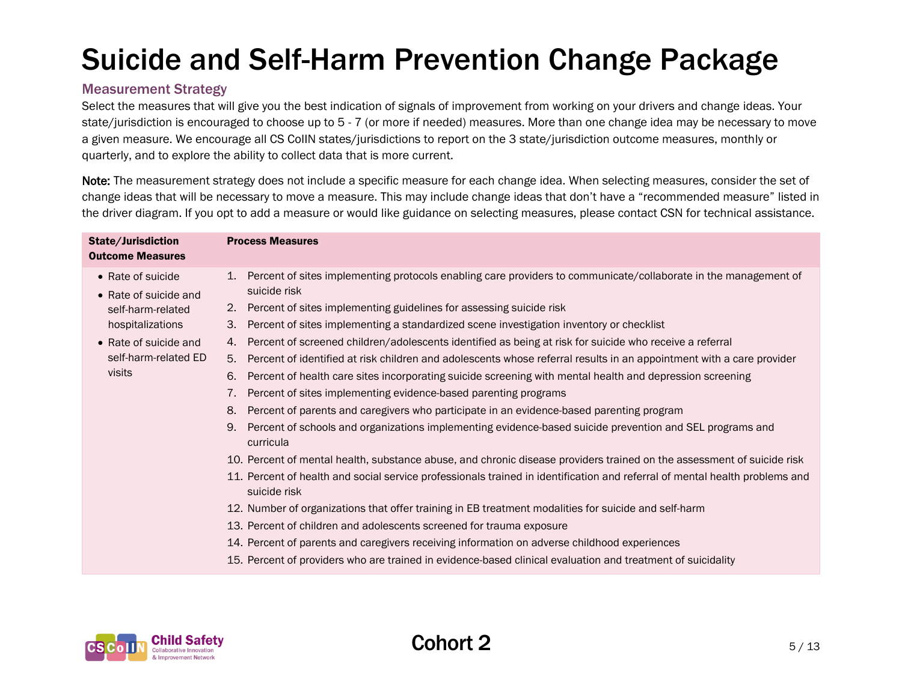#### Measurement Strategy

Select the measures that will give you the best indication of signals of improvement from working on your drivers and change ideas. Your state/jurisdiction is encouraged to choose up to 5 - 7 (or more if needed) measures. More than one change idea may be necessary to move a given measure. We encourage all CS CoIIN states/jurisdictions to report on the 3 state/jurisdiction outcome measures, monthly or quarterly, and to explore the ability to collect data that is more current.

Note: The measurement strategy does not include a specific measure for each change idea. When selecting measures, consider the set of change ideas that will be necessary to move a measure. This may include change ideas that don't have a "recommended measure" listed in the driver diagram. If you opt to add a measure or would like guidance on selecting measures, please contact CSN for technical assistance.

| State/Jurisdiction<br><b>Outcome Measures</b>                                                                                                          | <b>Process Measures</b>                                                                                                                                                                                                                                                                                                                                                                                                                                                                                                                                                                                                                                                                                                                                                                                                                                                                                                                                                                                                                                                                                                                                                                                                                                                                                                                                                                                                                                                                                                                                                                                                                                                |
|--------------------------------------------------------------------------------------------------------------------------------------------------------|------------------------------------------------------------------------------------------------------------------------------------------------------------------------------------------------------------------------------------------------------------------------------------------------------------------------------------------------------------------------------------------------------------------------------------------------------------------------------------------------------------------------------------------------------------------------------------------------------------------------------------------------------------------------------------------------------------------------------------------------------------------------------------------------------------------------------------------------------------------------------------------------------------------------------------------------------------------------------------------------------------------------------------------------------------------------------------------------------------------------------------------------------------------------------------------------------------------------------------------------------------------------------------------------------------------------------------------------------------------------------------------------------------------------------------------------------------------------------------------------------------------------------------------------------------------------------------------------------------------------------------------------------------------------|
| • Rate of suicide<br>• Rate of suicide and<br>self-harm-related<br>hospitalizations<br>$\bullet$ Rate of suicide and<br>self-harm-related ED<br>visits | Percent of sites implementing protocols enabling care providers to communicate/collaborate in the management of<br>1.<br>suicide risk<br>Percent of sites implementing guidelines for assessing suicide risk<br>2.<br>Percent of sites implementing a standardized scene investigation inventory or checklist<br>3.<br>Percent of screened children/adolescents identified as being at risk for suicide who receive a referral<br>4.<br>Percent of identified at risk children and adolescents whose referral results in an appointment with a care provider<br>5.<br>Percent of health care sites incorporating suicide screening with mental health and depression screening<br>6.<br>Percent of sites implementing evidence-based parenting programs<br>7.<br>8.<br>Percent of parents and caregivers who participate in an evidence-based parenting program<br>Percent of schools and organizations implementing evidence-based suicide prevention and SEL programs and<br>9.<br>curricula<br>10. Percent of mental health, substance abuse, and chronic disease providers trained on the assessment of suicide risk<br>11. Percent of health and social service professionals trained in identification and referral of mental health problems and<br>suicide risk<br>12. Number of organizations that offer training in EB treatment modalities for suicide and self-harm<br>13. Percent of children and adolescents screened for trauma exposure<br>14. Percent of parents and caregivers receiving information on adverse childhood experiences<br>15. Percent of providers who are trained in evidence-based clinical evaluation and treatment of suicidality |
|                                                                                                                                                        |                                                                                                                                                                                                                                                                                                                                                                                                                                                                                                                                                                                                                                                                                                                                                                                                                                                                                                                                                                                                                                                                                                                                                                                                                                                                                                                                                                                                                                                                                                                                                                                                                                                                        |

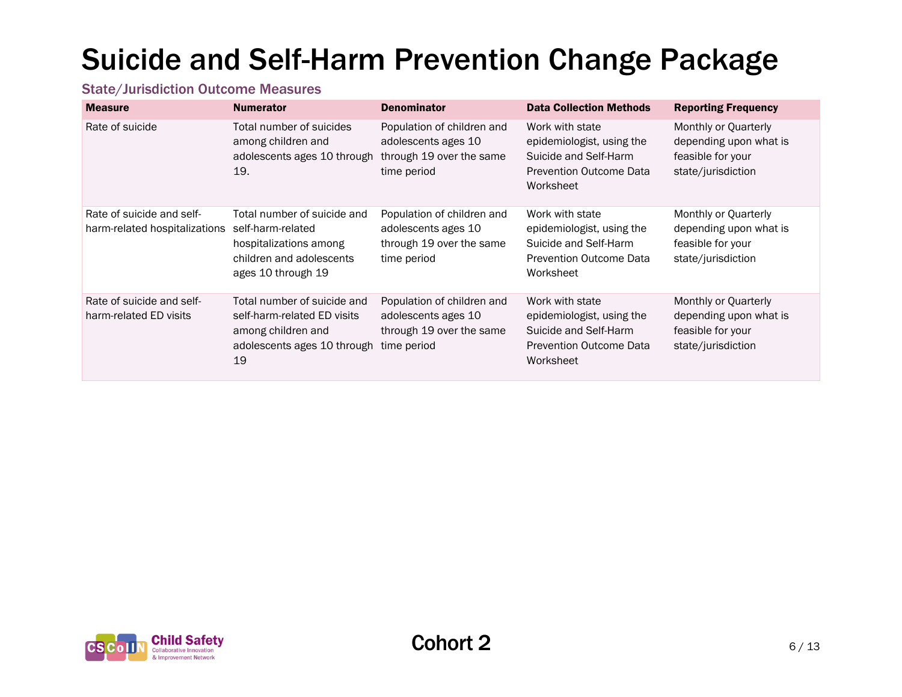#### State/Jurisdiction Outcome Measures

| <b>Measure</b>                                             | <b>Numerator</b>                                                                                                             | <b>Denominator</b>                                                                           | <b>Data Collection Methods</b>                                                                                       | <b>Reporting Frequency</b>                                                                |
|------------------------------------------------------------|------------------------------------------------------------------------------------------------------------------------------|----------------------------------------------------------------------------------------------|----------------------------------------------------------------------------------------------------------------------|-------------------------------------------------------------------------------------------|
| Rate of suicide                                            | Total number of suicides<br>among children and<br>adolescents ages 10 through<br>19.                                         | Population of children and<br>adolescents ages 10<br>through 19 over the same<br>time period | Work with state<br>epidemiologist, using the<br>Suicide and Self-Harm<br><b>Prevention Outcome Data</b><br>Worksheet | Monthly or Quarterly<br>depending upon what is<br>feasible for your<br>state/jurisdiction |
| Rate of suicide and self-<br>harm-related hospitalizations | Total number of suicide and<br>self-harm-related<br>hospitalizations among<br>children and adolescents<br>ages 10 through 19 | Population of children and<br>adolescents ages 10<br>through 19 over the same<br>time period | Work with state<br>epidemiologist, using the<br>Suicide and Self-Harm<br><b>Prevention Outcome Data</b><br>Worksheet | Monthly or Quarterly<br>depending upon what is<br>feasible for your<br>state/jurisdiction |
| Rate of suicide and self-<br>harm-related ED visits        | Total number of suicide and<br>self-harm-related ED visits<br>among children and<br>adolescents ages 10 through<br>19        | Population of children and<br>adolescents ages 10<br>through 19 over the same<br>time period | Work with state<br>epidemiologist, using the<br>Suicide and Self-Harm<br><b>Prevention Outcome Data</b><br>Worksheet | Monthly or Quarterly<br>depending upon what is<br>feasible for your<br>state/jurisdiction |

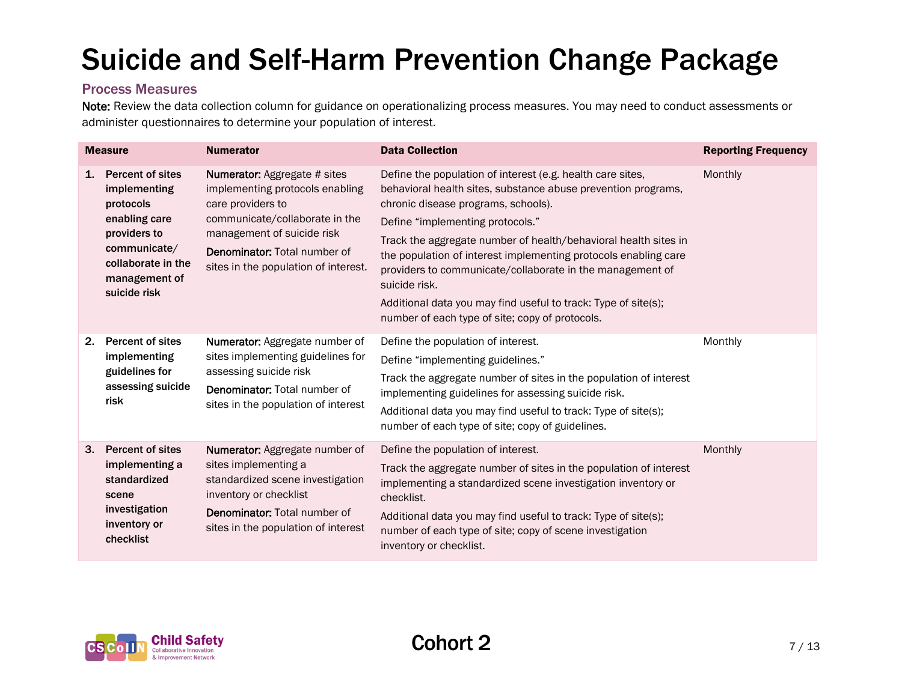#### Process Measures

Note: Review the data collection column for guidance on operationalizing process measures. You may need to conduct assessments or administer questionnaires to determine your population of interest.

| <b>Measure</b> |                                                                                                                                                              | <b>Numerator</b>                                                                                                                                                                                                                           | <b>Data Collection</b>                                                                                                                                                                                                                                                                                                                                                                                                                                                                                                                          | <b>Reporting Frequency</b> |
|----------------|--------------------------------------------------------------------------------------------------------------------------------------------------------------|--------------------------------------------------------------------------------------------------------------------------------------------------------------------------------------------------------------------------------------------|-------------------------------------------------------------------------------------------------------------------------------------------------------------------------------------------------------------------------------------------------------------------------------------------------------------------------------------------------------------------------------------------------------------------------------------------------------------------------------------------------------------------------------------------------|----------------------------|
| 1.             | <b>Percent of sites</b><br>implementing<br>protocols<br>enabling care<br>providers to<br>communicate/<br>collaborate in the<br>management of<br>suicide risk | <b>Numerator:</b> Aggregate # sites<br>implementing protocols enabling<br>care providers to<br>communicate/collaborate in the<br>management of suicide risk<br><b>Denominator: Total number of</b><br>sites in the population of interest. | Define the population of interest (e.g. health care sites,<br>behavioral health sites, substance abuse prevention programs,<br>chronic disease programs, schools).<br>Define "implementing protocols."<br>Track the aggregate number of health/behavioral health sites in<br>the population of interest implementing protocols enabling care<br>providers to communicate/collaborate in the management of<br>suicide risk.<br>Additional data you may find useful to track: Type of site(s);<br>number of each type of site; copy of protocols. | Monthly                    |
| 2.             | <b>Percent of sites</b><br>implementing<br>guidelines for<br>assessing suicide<br>risk                                                                       | Numerator: Aggregate number of<br>sites implementing guidelines for<br>assessing suicide risk<br><b>Denominator: Total number of</b><br>sites in the population of interest                                                                | Define the population of interest.<br>Define "implementing guidelines."<br>Track the aggregate number of sites in the population of interest<br>implementing guidelines for assessing suicide risk.<br>Additional data you may find useful to track: Type of site(s);<br>number of each type of site; copy of guidelines.                                                                                                                                                                                                                       | Monthly                    |
| 3.             | <b>Percent of sites</b><br>implementing a<br>standardized<br>scene<br>investigation<br>inventory or<br>checklist                                             | Numerator: Aggregate number of<br>sites implementing a<br>standardized scene investigation<br>inventory or checklist<br><b>Denominator: Total number of</b><br>sites in the population of interest                                         | Define the population of interest.<br>Track the aggregate number of sites in the population of interest<br>implementing a standardized scene investigation inventory or<br>checklist.<br>Additional data you may find useful to track: Type of site(s);<br>number of each type of site; copy of scene investigation<br>inventory or checklist.                                                                                                                                                                                                  | Monthly                    |

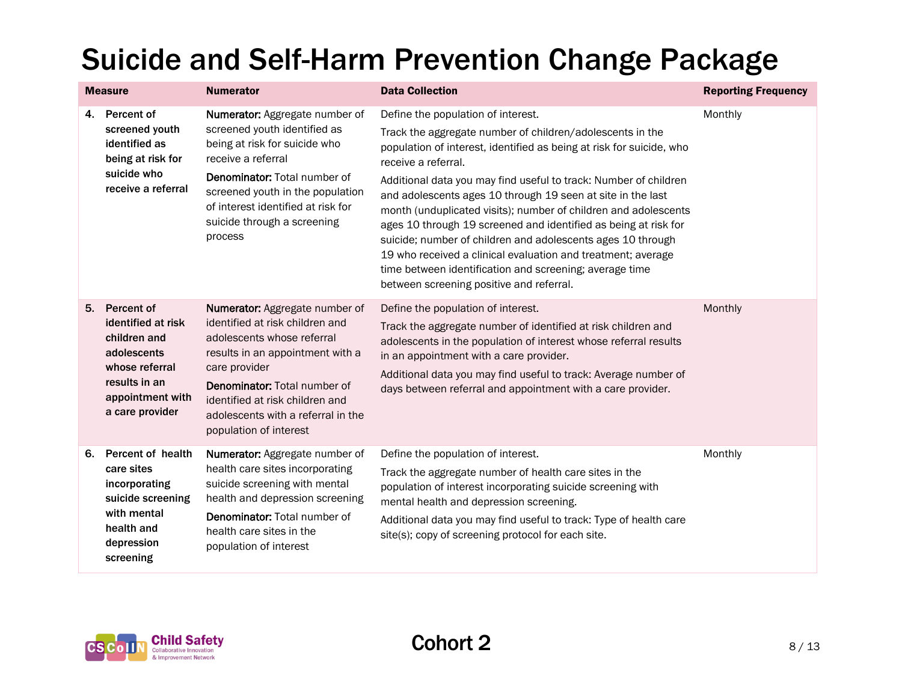|    | <b>Measure</b>                                                                                                                            | <b>Numerator</b>                                                                                                                                                                                                                                                                                      | <b>Data Collection</b>                                                                                                                                                                                                                                                                                                                                                                                                                                                                                                                                                                                                                                                                                        | <b>Reporting Frequency</b> |
|----|-------------------------------------------------------------------------------------------------------------------------------------------|-------------------------------------------------------------------------------------------------------------------------------------------------------------------------------------------------------------------------------------------------------------------------------------------------------|---------------------------------------------------------------------------------------------------------------------------------------------------------------------------------------------------------------------------------------------------------------------------------------------------------------------------------------------------------------------------------------------------------------------------------------------------------------------------------------------------------------------------------------------------------------------------------------------------------------------------------------------------------------------------------------------------------------|----------------------------|
| 4. | Percent of<br>screened youth<br>identified as<br>being at risk for<br>suicide who<br>receive a referral                                   | Numerator: Aggregate number of<br>screened youth identified as<br>being at risk for suicide who<br>receive a referral<br><b>Denominator: Total number of</b><br>screened youth in the population<br>of interest identified at risk for<br>suicide through a screening<br>process                      | Define the population of interest.<br>Track the aggregate number of children/adolescents in the<br>population of interest, identified as being at risk for suicide, who<br>receive a referral.<br>Additional data you may find useful to track: Number of children<br>and adolescents ages 10 through 19 seen at site in the last<br>month (unduplicated visits); number of children and adolescents<br>ages 10 through 19 screened and identified as being at risk for<br>suicide; number of children and adolescents ages 10 through<br>19 who received a clinical evaluation and treatment; average<br>time between identification and screening; average time<br>between screening positive and referral. | Monthly                    |
| 5. | Percent of<br>identified at risk<br>children and<br>adolescents<br>whose referral<br>results in an<br>appointment with<br>a care provider | <b>Numerator:</b> Aggregate number of<br>identified at risk children and<br>adolescents whose referral<br>results in an appointment with a<br>care provider<br><b>Denominator: Total number of</b><br>identified at risk children and<br>adolescents with a referral in the<br>population of interest | Define the population of interest.<br>Track the aggregate number of identified at risk children and<br>adolescents in the population of interest whose referral results<br>in an appointment with a care provider.<br>Additional data you may find useful to track: Average number of<br>days between referral and appointment with a care provider.                                                                                                                                                                                                                                                                                                                                                          | Monthly                    |
| 6. | Percent of health<br>care sites<br>incorporating<br>suicide screening<br>with mental<br>health and<br>depression<br>screening             | Numerator: Aggregate number of<br>health care sites incorporating<br>suicide screening with mental<br>health and depression screening<br><b>Denominator: Total number of</b><br>health care sites in the<br>population of interest                                                                    | Define the population of interest.<br>Track the aggregate number of health care sites in the<br>population of interest incorporating suicide screening with<br>mental health and depression screening.<br>Additional data you may find useful to track: Type of health care<br>site(s); copy of screening protocol for each site.                                                                                                                                                                                                                                                                                                                                                                             | Monthly                    |

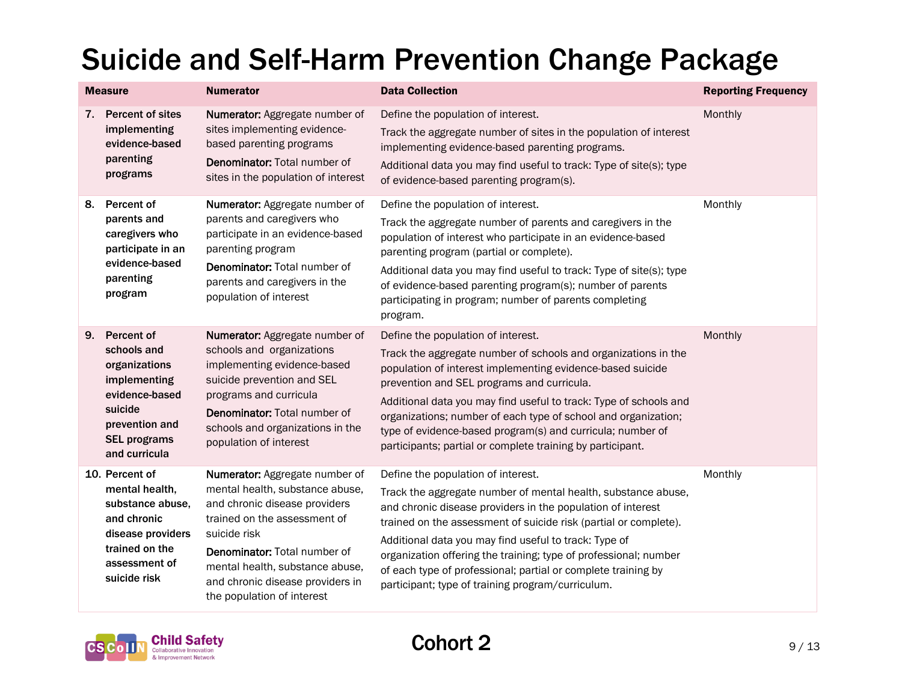|    | <b>Measure</b>                                                                                                                                    | <b>Numerator</b>                                                                                                                                                                                                                                                                               | <b>Data Collection</b>                                                                                                                                                                                                                                                                                                                                                                                                                                                                    | <b>Reporting Frequency</b> |
|----|---------------------------------------------------------------------------------------------------------------------------------------------------|------------------------------------------------------------------------------------------------------------------------------------------------------------------------------------------------------------------------------------------------------------------------------------------------|-------------------------------------------------------------------------------------------------------------------------------------------------------------------------------------------------------------------------------------------------------------------------------------------------------------------------------------------------------------------------------------------------------------------------------------------------------------------------------------------|----------------------------|
| 7. | <b>Percent of sites</b><br>implementing<br>evidence-based<br>parenting<br>programs                                                                | Numerator: Aggregate number of<br>sites implementing evidence-<br>based parenting programs<br><b>Denominator: Total number of</b><br>sites in the population of interest                                                                                                                       | Define the population of interest.<br>Track the aggregate number of sites in the population of interest<br>implementing evidence-based parenting programs.<br>Additional data you may find useful to track: Type of site(s); type<br>of evidence-based parenting program(s).                                                                                                                                                                                                              | Monthly                    |
| 8. | Percent of<br>parents and<br>caregivers who<br>participate in an<br>evidence-based<br>parenting<br>program                                        | Numerator: Aggregate number of<br>parents and caregivers who<br>participate in an evidence-based<br>parenting program<br>Denominator: Total number of<br>parents and caregivers in the<br>population of interest                                                                               | Define the population of interest.<br>Track the aggregate number of parents and caregivers in the<br>population of interest who participate in an evidence-based<br>parenting program (partial or complete).<br>Additional data you may find useful to track: Type of site(s); type<br>of evidence-based parenting program(s); number of parents<br>participating in program; number of parents completing<br>program.                                                                    | Monthly                    |
| 9. | Percent of<br>schools and<br>organizations<br>implementing<br>evidence-based<br>suicide<br>prevention and<br><b>SEL programs</b><br>and curricula | Numerator: Aggregate number of<br>schools and organizations<br>implementing evidence-based<br>suicide prevention and SEL<br>programs and curricula<br>Denominator: Total number of<br>schools and organizations in the<br>population of interest                                               | Define the population of interest.<br>Track the aggregate number of schools and organizations in the<br>population of interest implementing evidence-based suicide<br>prevention and SEL programs and curricula.<br>Additional data you may find useful to track: Type of schools and<br>organizations; number of each type of school and organization;<br>type of evidence-based program(s) and curricula; number of<br>participants; partial or complete training by participant.       | Monthly                    |
|    | 10. Percent of<br>mental health,<br>substance abuse,<br>and chronic<br>disease providers<br>trained on the<br>assessment of<br>suicide risk       | Numerator: Aggregate number of<br>mental health, substance abuse,<br>and chronic disease providers<br>trained on the assessment of<br>suicide risk<br><b>Denominator: Total number of</b><br>mental health, substance abuse,<br>and chronic disease providers in<br>the population of interest | Define the population of interest.<br>Track the aggregate number of mental health, substance abuse,<br>and chronic disease providers in the population of interest<br>trained on the assessment of suicide risk (partial or complete).<br>Additional data you may find useful to track: Type of<br>organization offering the training; type of professional; number<br>of each type of professional; partial or complete training by<br>participant; type of training program/curriculum. | Monthly                    |

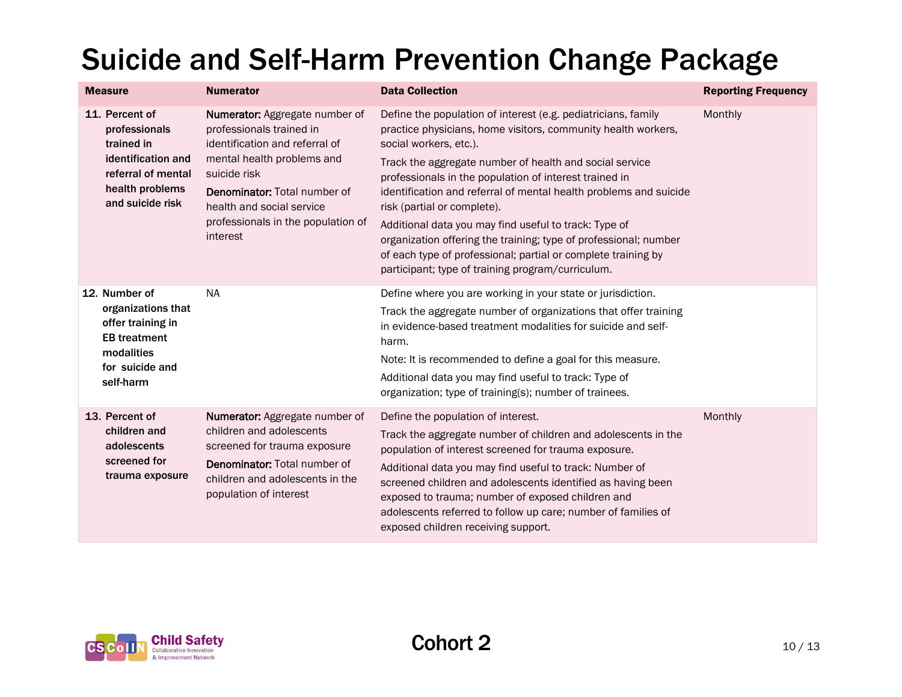| <b>Measure</b>                                                      | <b>Numerator</b>                                                                                                                                                                                                                                                 | <b>Data Collection</b>                                                                                                                                                                                                                                                              | <b>Reporting Frequency</b> |
|---------------------------------------------------------------------|------------------------------------------------------------------------------------------------------------------------------------------------------------------------------------------------------------------------------------------------------------------|-------------------------------------------------------------------------------------------------------------------------------------------------------------------------------------------------------------------------------------------------------------------------------------|----------------------------|
| 11. Percent of<br>professionals<br>trained in<br>identification and | Numerator: Aggregate number of<br>professionals trained in<br>identification and referral of<br>mental health problems and<br>suicide risk<br><b>Denominator: Total number of</b><br>health and social service<br>professionals in the population of<br>interest | Define the population of interest (e.g. pediatricians, family<br>practice physicians, home visitors, community health workers,<br>social workers, etc.).                                                                                                                            | Monthly                    |
| referral of mental<br>health problems<br>and suicide risk           |                                                                                                                                                                                                                                                                  | Track the aggregate number of health and social service<br>professionals in the population of interest trained in<br>identification and referral of mental health problems and suicide<br>risk (partial or complete).                                                               |                            |
|                                                                     |                                                                                                                                                                                                                                                                  | Additional data you may find useful to track: Type of<br>organization offering the training; type of professional; number<br>of each type of professional; partial or complete training by<br>participant; type of training program/curriculum.                                     |                            |
| 12. Number of                                                       | <b>NA</b>                                                                                                                                                                                                                                                        | Define where you are working in your state or jurisdiction.                                                                                                                                                                                                                         |                            |
| organizations that<br>offer training in<br><b>EB</b> treatment      |                                                                                                                                                                                                                                                                  | Track the aggregate number of organizations that offer training<br>in evidence-based treatment modalities for suicide and self-<br>harm.                                                                                                                                            |                            |
| modalities<br>for suicide and                                       |                                                                                                                                                                                                                                                                  | Note: It is recommended to define a goal for this measure.                                                                                                                                                                                                                          |                            |
| self-harm                                                           |                                                                                                                                                                                                                                                                  | Additional data you may find useful to track: Type of<br>organization; type of training(s); number of trainees.                                                                                                                                                                     |                            |
| 13. Percent of                                                      | <b>Numerator:</b> Aggregate number of                                                                                                                                                                                                                            | Define the population of interest.                                                                                                                                                                                                                                                  | Monthly                    |
| children and<br>adolescents                                         | children and adolescents<br>screened for trauma exposure                                                                                                                                                                                                         | Track the aggregate number of children and adolescents in the<br>population of interest screened for trauma exposure.                                                                                                                                                               |                            |
| screened for<br>trauma exposure                                     | <b>Denominator: Total number of</b><br>children and adolescents in the<br>population of interest                                                                                                                                                                 | Additional data you may find useful to track: Number of<br>screened children and adolescents identified as having been<br>exposed to trauma; number of exposed children and<br>adolescents referred to follow up care; number of families of<br>exposed children receiving support. |                            |

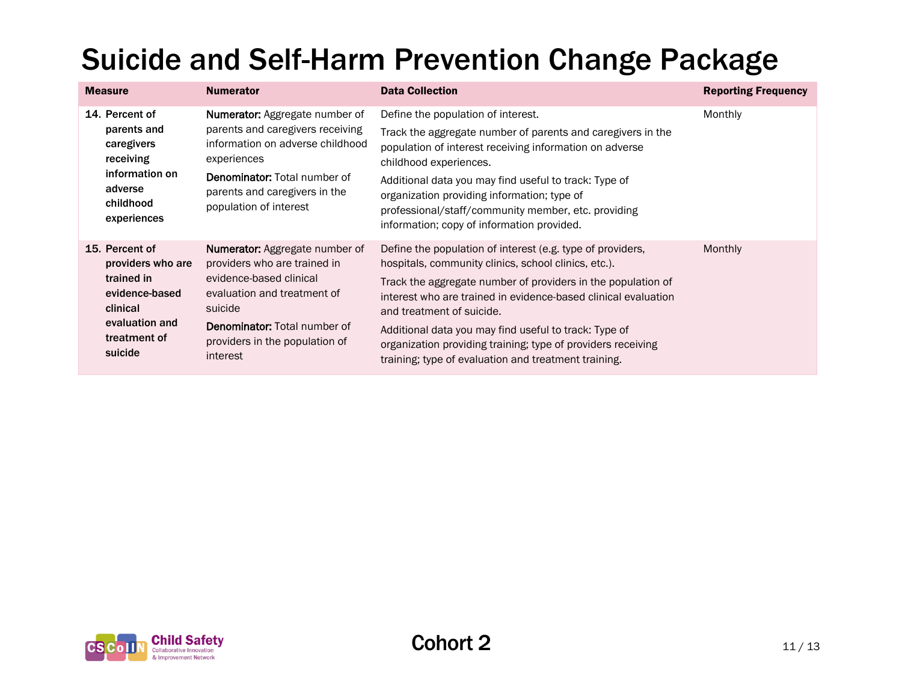| <b>Measure</b>                                                                                                               | <b>Numerator</b>                                                                                                                                                                                                                | <b>Data Collection</b>                                                                                                                                                                                                                                                                                                                                                                                                                                             | <b>Reporting Frequency</b> |
|------------------------------------------------------------------------------------------------------------------------------|---------------------------------------------------------------------------------------------------------------------------------------------------------------------------------------------------------------------------------|--------------------------------------------------------------------------------------------------------------------------------------------------------------------------------------------------------------------------------------------------------------------------------------------------------------------------------------------------------------------------------------------------------------------------------------------------------------------|----------------------------|
| 14. Percent of<br>parents and<br>caregivers<br>receiving<br>information on<br>adverse<br>childhood<br>experiences            | <b>Numerator:</b> Aggregate number of<br>parents and caregivers receiving<br>information on adverse childhood<br>experiences<br><b>Denominator: Total number of</b><br>parents and caregivers in the<br>population of interest  | Define the population of interest.<br>Track the aggregate number of parents and caregivers in the<br>population of interest receiving information on adverse<br>childhood experiences.<br>Additional data you may find useful to track: Type of<br>organization providing information; type of<br>professional/staff/community member, etc. providing<br>information; copy of information provided.                                                                | Monthly                    |
| 15. Percent of<br>providers who are<br>trained in<br>evidence-based<br>clinical<br>evaluation and<br>treatment of<br>suicide | <b>Numerator:</b> Aggregate number of<br>providers who are trained in<br>evidence-based clinical<br>evaluation and treatment of<br>suicide<br><b>Denominator:</b> Total number of<br>providers in the population of<br>interest | Define the population of interest (e.g. type of providers,<br>hospitals, community clinics, school clinics, etc.).<br>Track the aggregate number of providers in the population of<br>interest who are trained in evidence-based clinical evaluation<br>and treatment of suicide.<br>Additional data you may find useful to track: Type of<br>organization providing training; type of providers receiving<br>training; type of evaluation and treatment training. | Monthly                    |

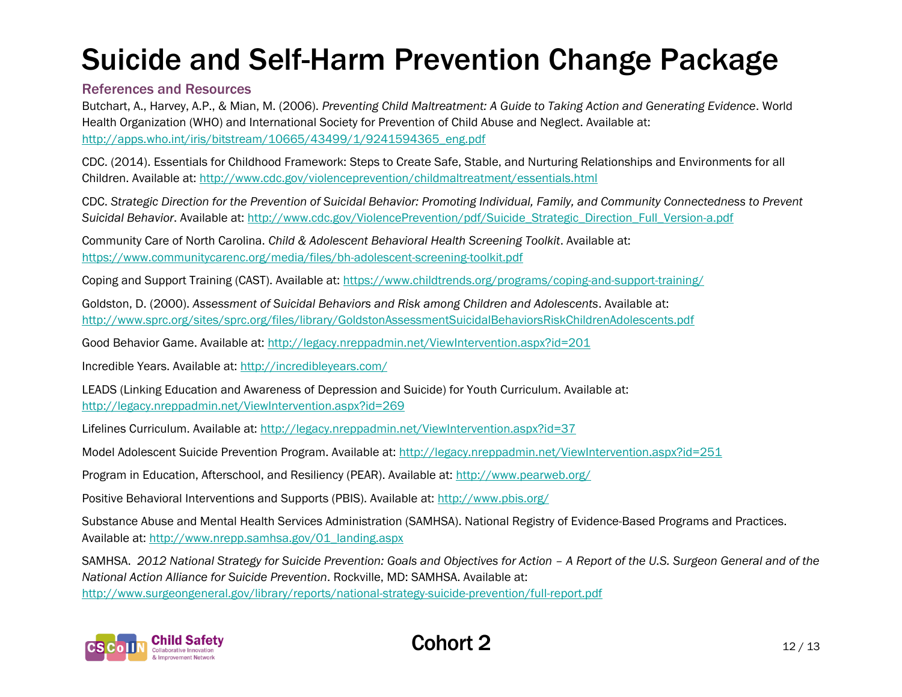#### References and Resources

Butchart, A., Harvey, A.P., & Mian, M. (2006). *Preventing Child Maltreatment: A Guide to Taking Action and Generating Evidence*. World Health Organization (WHO) and International Society for Prevention of Child Abuse and Neglect. Available at: [http://apps.who.int/iris/bitstream/10665/43499/1/9241594365\\_eng.pdf](http://apps.who.int/iris/bitstream/10665/43499/1/9241594365_eng.pdf)

CDC. (2014). Essentials for Childhood Framework: Steps to Create Safe, Stable, and Nurturing Relationships and Environments for all Children. Available at:<http://www.cdc.gov/violenceprevention/childmaltreatment/essentials.html>

CDC. *Strategic Direction for the Prevention of Suicidal Behavior: Promoting Individual, Family, and Community Connectedness to Prevent Suicidal Behavior*. Available at: [http://www.cdc.gov/ViolencePrevention/pdf/Suicide\\_Strategic\\_Direction\\_Full\\_Version-a.pdf](http://www.cdc.gov/ViolencePrevention/pdf/Suicide_Strategic_Direction_Full_Version-a.pdf)

Community Care of North Carolina. *Child & Adolescent Behavioral Health Screening Toolkit*. Available at: <https://www.communitycarenc.org/media/files/bh-adolescent-screening-toolkit.pdf>

Coping and Support Training (CAST). Available at:<https://www.childtrends.org/programs/coping-and-support-training/>

Goldston, D. (2000). *Assessment of Suicidal Behaviors and Risk among Children and Adolescents*. Available at: <http://www.sprc.org/sites/sprc.org/files/library/GoldstonAssessmentSuicidalBehaviorsRiskChildrenAdolescents.pdf>

Good Behavior Game. Available at:<http://legacy.nreppadmin.net/ViewIntervention.aspx?id=201>

Incredible Years. Available at:<http://incredibleyears.com/>

LEADS (Linking Education and Awareness of Depression and Suicide) for Youth Curriculum. Available at: <http://legacy.nreppadmin.net/ViewIntervention.aspx?id=269>

Lifelines Curriculum. Available at:<http://legacy.nreppadmin.net/ViewIntervention.aspx?id=37>

Model Adolescent Suicide Prevention Program. Available at:<http://legacy.nreppadmin.net/ViewIntervention.aspx?id=251>

Program in Education, Afterschool, and Resiliency (PEAR). Available at:<http://www.pearweb.org/>

Positive Behavioral Interventions and Supports (PBIS). Available at:<http://www.pbis.org/>

Substance Abuse and Mental Health Services Administration (SAMHSA). National Registry of Evidence-Based Programs and Practices. Available at: [http://www.nrepp.samhsa.gov/01\\_landing.aspx](http://www.nrepp.samhsa.gov/01_landing.aspx)

SAMHSA. 2012 National Strategy for Suicide Prevention: Goals and Objectives for Action – A Report of the U.S. Surgeon General and of the *National Action Alliance for Suicide Prevention*. Rockville, MD: SAMHSA. Available at: <http://www.surgeongeneral.gov/library/reports/national-strategy-suicide-prevention/full-report.pdf>